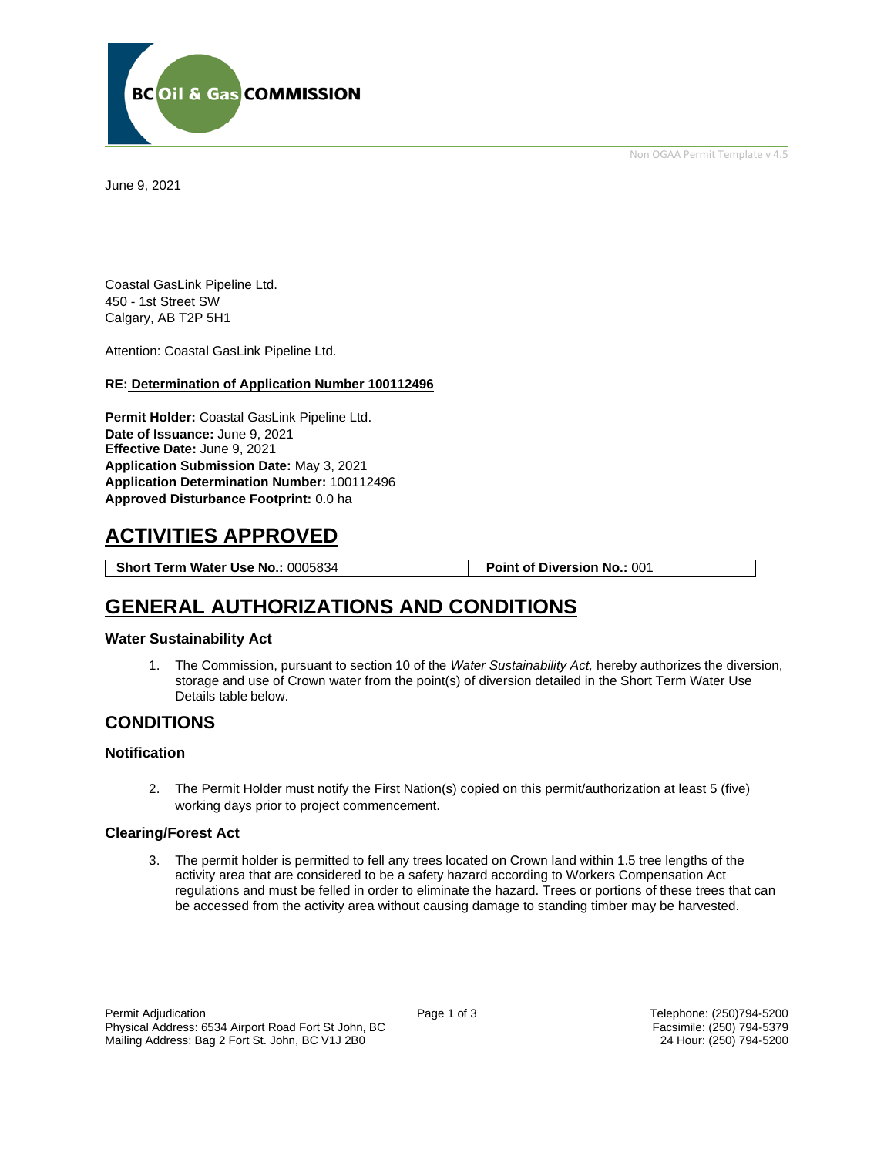Non OGAA Permit Template v 4.5



June 9, 2021

Coastal GasLink Pipeline Ltd. 450 - 1st Street SW Calgary, AB T2P 5H1

Attention: Coastal GasLink Pipeline Ltd.

### **RE: Determination of Application Number 100112496**

**Permit Holder:** Coastal GasLink Pipeline Ltd. **Date of Issuance:** June 9, 2021 **Effective Date:** June 9, 2021 **Application Submission Date:** May 3, 2021 **Application Determination Number:** 100112496 **Approved Disturbance Footprint:** 0.0 ha

# **ACTIVITIES APPROVED**

**Short Term Water Use No.:** 0005834 **Point of Diversion No.:** 001

## **GENERAL AUTHORIZATIONS AND CONDITIONS**

### **Water Sustainability Act**

1. The Commission, pursuant to section 10 of the *Water Sustainability Act,* hereby authorizes the diversion, storage and use of Crown water from the point(s) of diversion detailed in the Short Term Water Use Details table below.

### **CONDITIONS**

### **Notification**

2. The Permit Holder must notify the First Nation(s) copied on this permit/authorization at least 5 (five) working days prior to project commencement.

### **Clearing/Forest Act**

3. The permit holder is permitted to fell any trees located on Crown land within 1.5 tree lengths of the activity area that are considered to be a safety hazard according to Workers Compensation Act regulations and must be felled in order to eliminate the hazard. Trees or portions of these trees that can be accessed from the activity area without causing damage to standing timber may be harvested.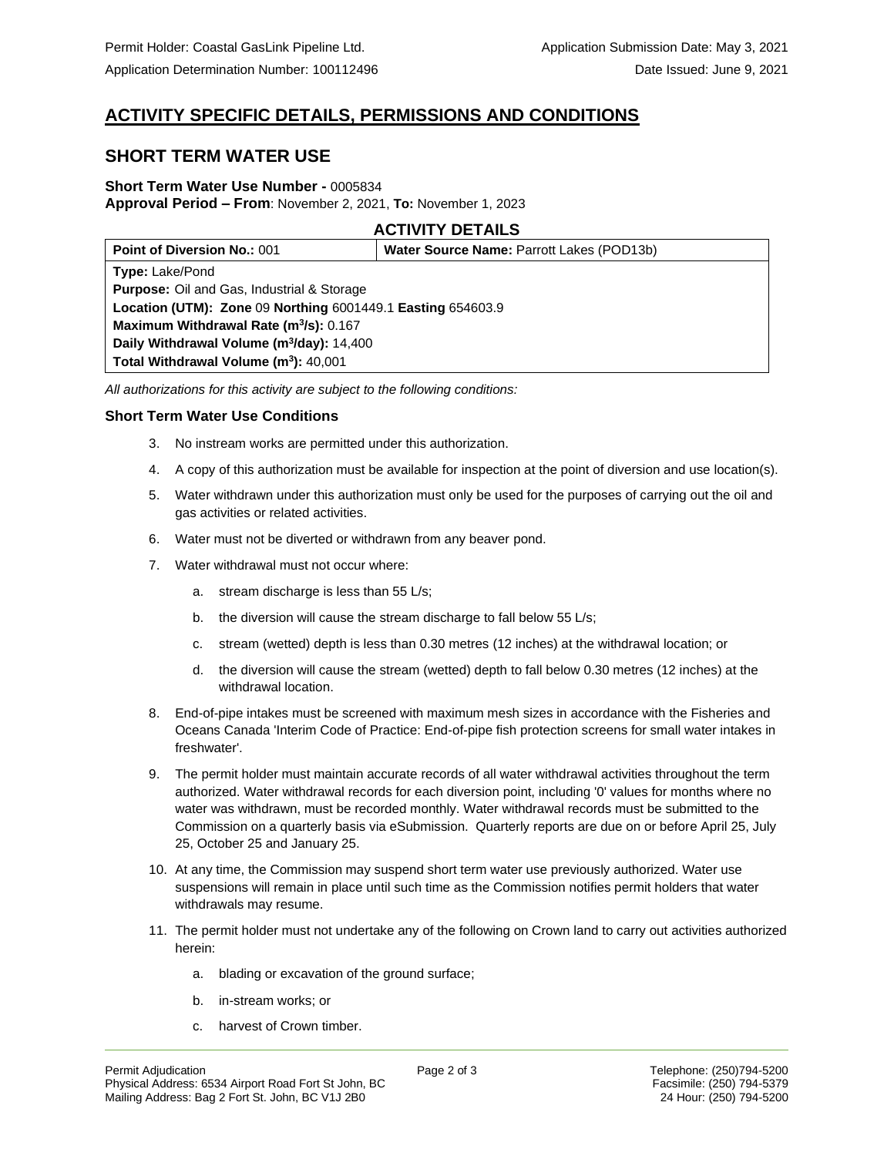## **ACTIVITY SPECIFIC DETAILS, PERMISSIONS AND CONDITIONS**

## **SHORT TERM WATER USE**

### **Short Term Water Use Number -** 0005834 **Approval Period – From**: November 2, 2021, **To:** November 1, 2023

### **ACTIVITY DETAILS**

| <b>Point of Diversion No.: 001</b>                          | Water Source Name: Parrott Lakes (POD13b) |
|-------------------------------------------------------------|-------------------------------------------|
| <b>Type: Lake/Pond</b>                                      |                                           |
| <b>Purpose:</b> Oil and Gas, Industrial & Storage           |                                           |
| Location (UTM): Zone 09 Northing 6001449.1 Easting 654603.9 |                                           |
| Maximum Withdrawal Rate (m <sup>3</sup> /s): 0.167          |                                           |
| Daily Withdrawal Volume (m <sup>3</sup> /day): 14,400       |                                           |
| Total Withdrawal Volume $(m^3)$ : 40,001                    |                                           |

*All authorizations for this activity are subject to the following conditions:*

### **Short Term Water Use Conditions**

- 3. No instream works are permitted under this authorization.
- 4. A copy of this authorization must be available for inspection at the point of diversion and use location(s).
- 5. Water withdrawn under this authorization must only be used for the purposes of carrying out the oil and gas activities or related activities.
- 6. Water must not be diverted or withdrawn from any beaver pond.
- 7. Water withdrawal must not occur where:
	- a. stream discharge is less than 55 L/s;
	- b. the diversion will cause the stream discharge to fall below 55 L/s;
	- c. stream (wetted) depth is less than 0.30 metres (12 inches) at the withdrawal location; or
	- d. the diversion will cause the stream (wetted) depth to fall below 0.30 metres (12 inches) at the withdrawal location.
- 8. End-of-pipe intakes must be screened with maximum mesh sizes in accordance with the Fisheries and Oceans Canada 'Interim Code of Practice: End-of-pipe fish protection screens for small water intakes in freshwater'.
- 9. The permit holder must maintain accurate records of all water withdrawal activities throughout the term authorized. Water withdrawal records for each diversion point, including '0' values for months where no water was withdrawn, must be recorded monthly. Water withdrawal records must be submitted to the Commission on a quarterly basis via eSubmission. Quarterly reports are due on or before April 25, July 25, October 25 and January 25.
- 10. At any time, the Commission may suspend short term water use previously authorized. Water use suspensions will remain in place until such time as the Commission notifies permit holders that water withdrawals may resume.
- 11. The permit holder must not undertake any of the following on Crown land to carry out activities authorized herein:
	- a. blading or excavation of the ground surface;
	- b. in-stream works; or
	- c. harvest of Crown timber.